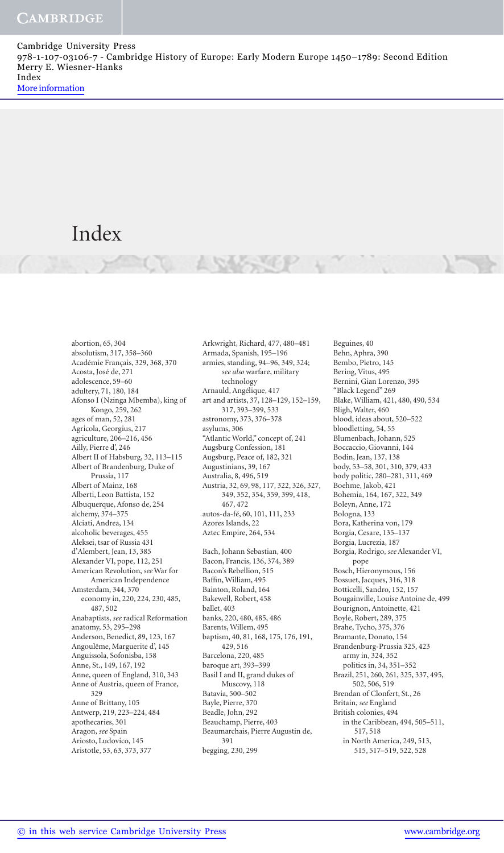# Index

 abortion, 65 , 304 absolutism, 317 , 358–360 Académie Français, 329 , 368 , 370 Acosta, José de, 271 adolescence, 59-60 adultery, 71, 180, 184 Afonso I (Nzinga Mbemba), king of Kongo, 259 , 262 ages of man, 52, 281 Agricola, Georgius, 217 agriculture, 206-216, 456 Ailly, Pierre d', 246 Albert II of Habsburg, 32, 113-115 Albert of Brandenburg, Duke of Prussia, 117 Albert of Mainz, 168 Alberti, Leon Battista, 152 Albuquerque, Afonso de, 254 alchemy, 374–375 Alciati, Andrea, 134 alcoholic beverages, 455 Aleksei, tsar of Russia 431 d'Alembert, Jean, 13, 385 Alexander VI, pope, 112, 251 American Revolution, *see* War for American Independence Amsterdam, 344 , 370 economy in, 220, 224, 230, 485, 487 , 502 Anabaptists, *see* radical Reformation anatomy, 53 , 295–298 Anderson, Benedict, 89, 123, 167 Angoulême, Marguerite d', 145 Anguissola, Sofonisba, 158 Anne, St., 149, 167, 192 Anne, queen of England, 310, 343 Anne of Austria, queen of France, 329 Anne of Brittany, 105 Antwerp, 219, 223-224, 484 apothecaries, 301 Aragon, *see* Spain Ariosto, Ludovico, 145 Aristotle, 53, 63, 373, 377

 Arkwright, Richard, 477 , 480–481 Armada, Spanish, 195–196 armies, standing, 94–96 , 349 , 324 ; *see also* warfare, military technology Arnauld, Angélique, 417 art and artists, 37 , 128–129 , 152–159, 317 , 393–399 , 533 astronomy, 373 , 376–378 asylums, 306 "Atlantic World," concept of, 241 Augsburg Confession, 181 Augsburg, Peace of, 182, 321 Augustinians, 39, 167 Australia, 8 , 496 , 519 Austria, 32, 69, 98, 117, 322, 326, 327, 349 , 352 , 354 , 359 , 399 , 418 , 467 472 autos-da-fé, 60, 101, 111, 233 Azores Islands, 22 Aztec Empire, 264, 534 Bach, Johann Sebastian, 400 Bacon, Francis, 136 , 374 , 389 Bacon's Rebellion, 515 Baffin, William, 495 Bainton, Roland, 164 Bakewell, Robert, 458 ballet, 403 banks, 220, 480, 485, 486 Barents, Willem, 495 baptism, 40, 81, 168, 175, 176, 191, 429 , 516 Barcelona, 220, 485 baroque art, 393–399 Basil I and II, grand dukes of Muscovy, 118 Batavia, 500–502 Bayle, Pierre, 370 Beadle, John, 292 Beauchamp, Pierre, 403 Beaumarchais, Pierre Augustin de, 391 begging, 230, 299

 Beguines, 40 Behn, Aphra, 390 Bembo, Pietro, 145 Bering, Vitus, 495 Bernini, Gian Lorenzo, 395 "Black Legend" 269 Blake, William, 421, 480, 490, 534 Bligh, Walter, 460 blood, ideas about, 520–522 bloodletting, 54, 55 Blumenbach, Johann, 525 Boccaccio, Giovanni, 144 Bodin, Jean, 137, 138 body, 53 –58 , 301 , 310 , 379 , 433 body politic, 280–281 , 311 , 469 Boehme, Jakob, 421 Bohemia, 164, 167, 322, 349 Boleyn, Anne, 172 Bologna, 133 Bora, Katherina von, 179 Borgia, Cesare, 135-137 Borgia, Lucrezia, 187 Borgia, Rodrigo, *see* Alexander VI, pope Bosch, Hieronymous, 156 Bossuet, Jacques, 316, 318 Botticelli, Sandro, 152, 157 Bougainville, Louise Antoine de, 499 Bourignon, Antoinette, 421 Boyle, Robert, 289 , 375 Brahe, Tycho, 375, 376 Bramante, Donato, 154 Brandenburg-Prussia 325 , 423 army in, 324, 352 politics in, 34 , 351–352 Brazil, 251, 260, 261, 325, 337, 495, 502 , 506 , 519 Brendan of Clonfert, St., 26 Britain, *see* England British colonies, 494 in the Caribbean, 494, 505-511, 517 , 518 in North America, 249, 513, 515 , 517–519 , 522 , 528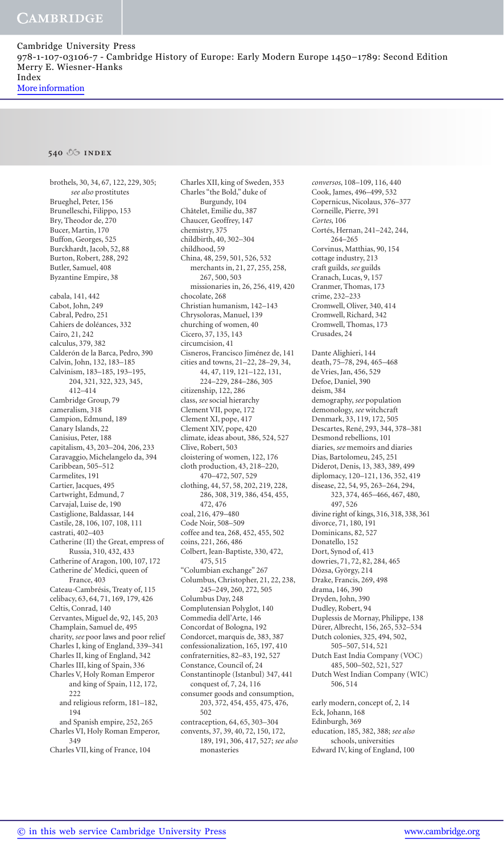### **540 index**

brothels, 30, 34, 67, 122, 229, 305; *see also* prostitutes Brueghel, Peter, 156 Brunelleschi, Filippo, 153 Bry, Theodor de, 270 Bucer, Martin, 170 Buffon, Georges, 525 Burckhardt, Jacob, 52, 88 Burton, Robert, 288, 292 Butler, Samuel, 408 Byzantine Empire, 38 cabala, 141 , 442 Cabot, John, 249 Cabral, Pedro, 251 Cahiers de doléances, 332 Cairo, 21 , 242 calculus, 379 , 382 Calderón de la Barca, Pedro, 390 Calvin, John, 132, 183-185 Calvinism, 183-185, 193-195, 204 , 321 , 322 , 323 , 345 , 412 –414 Cambridge Group, 79 cameralism, 318 Campion, Edmund, 189 Canary Islands, 22 Canisius, Peter, 188 capitalism, 43, 203-204, 206, 233 Caravaggio, Michelangelo da, 394 Caribbean, 505–512 Carmelites, 191 Cartier, Jacques, 495 Cartwright, Edmund, 7 Carvajal, Luise de, 190 Castiglione, Baldassar, 144 Castile, 28, 106, 107, 108, 111 castrati, 402–403 Catherine (II) the Great, empress of Russia, 310, 432, 433 Catherine of Aragon, 100, 107, 172 Catherine de' Medici, queen of France, 403 Cateau-Cambrésis, Treaty of, 115 celibacy, 63 , 64 , 71 , 169 , 179 , 426 Celtis, Conrad, 140 Cervantes, Miguel de, 92, 145, 203 Champlain, Samuel de, 495 charity, *see* poor laws and poor relief Charles I, king of England, 339–341 Charles II, king of England, 342 Charles III, king of Spain, 336 Charles V, Holy Roman Emperor and king of Spain, 112, 172, 222 and religious reform, 181-182, 194 and Spanish empire, 252, 265 Charles VI, Holy Roman Emperor, 349 Charles VII, king of France, 104

 Charles XII, king of Sweden, 353 Charles "the Bold," duke of Burgundy, 104 Châtelet, Emilie du, 387 Chaucer, Geoffrey, 147 chemistry, 375 childbirth, 40, 302-304 childhood, 59 China, 48, 259, 501, 526, 532 merchants in, 21, 27, 255, 258, 267 , 500 , 503 missionaries in, 26 , 256 , 419 , 420 chocolate, 268 Christian humanism, 142–143 Chrysoloras, Manuel, 139 churching of women, 40 Cicero, 37, 135, 143 circumcision, 41 Cisneros, Francisco Jiménez de, 141 cities and towns, 21–22 , 28–29 , 34 , 44 , 47 , 119 , 121–122 , 131 , 224 –229, 284–286 , 305 citizenship, 122, 286 class, *see* social hierarchy Clement VII, pope, 172 Clement XI, pope, 417 Clement XIV, pope, 420 climate, ideas about, 386, 524, 527 Clive, Robert, 503 cloistering of women, 122, 176 cloth production, 43, 218-220, 470–472 , 507 , 529 clothing, 44, 57, 58, 202, 219, 228, 286 , 308 , 319 , 386 , 454 , 455 , 472 476 coal, 216 , 479–480 Code Noir, 508–509 coffee and tea, 268, 452, 455, 502 coins, 221, 266, 486 Colbert, Jean-Baptiste, 330, 472, 475 , 515 "Columbian exchange" 267 Columbus, Christopher, 21, 22, 238, 245 –249, 260 , 272 , 505 Columbus Day, 248 Complutensian Polyglot, 140 Commedia dell'Arte, 146 Concordat of Bologna, 192 Condorcet, marquis de, 383, 387 confessionalization, 165 , 197 , 410 confraternities, 82-83, 192, 527 Constance, Council of, 24 Constantinople (Istanbul) 347 , 441 conquest of, 7, 24, 116 consumer goods and consumption, 203 , 372 , 454 , 455 , 475 , 476 , 502 contraception, 64, 65, 303-304 convents, 37, 39, 40, 72, 150, 172, 189 , 191 , 306 , 417 , 527; *see also* monasteries

*conversos*, 108–109 , 116 , 440 Cook, James, 496–499 , 532 Copernicus, Nicolaus, 376–377 Corneille, Pierre, 391 *Cortes* , 106 Cortés, Hernan, 241-242, 244, 264–265 Corvinus, Matthias, 90, 154 cottage industry, 213 craft guilds, *see* guilds Cranach, Lucas, 9, 157 Cranmer, Thomas, 173 crime, 232-233 Cromwell, Oliver, 340, 414 Cromwell, Richard, 342 Cromwell, Thomas, 173 Crusades, 24 Dante Alighieri, 144 death, 75-78, 294, 465-468 de Vries, Jan, 456, 529 Defoe, Daniel, 390 deism, 384 demography, *see* population demonology, *see* witchcraft Denmark, 33, 119, 172, 505 Descartes, René, 293 , 344 , 378–381 Desmond rebellions, 101 diaries, *see* memoirs and diaries Dias, Bartolomeu, 245, 251 Diderot, Denis, 13 , 383 , 389 , 499 diplomacy, 120-121, 136, 352, 419 disease, 22, 54, 95, 263-264, 294, 323 , 374 , 465–466 , 467 , 480 , 497 526 divine right of kings, 316 , 318 , 338 , 361 divorce, 71, 180, 191 Dominicans, 82, 527 Donatello, 152 Dort, Synod of, 413 dowries, 71, 72, 82, 284, 465 Dózsa, György, 214 Drake, Francis, 269, 498 drama, 146 , 390 Dryden, John, 390 Dudley, Robert, 94 Duplessis de Mornay, Philippe, 138 Dürer, Albrecht, 156, 265, 532-534 Dutch colonies, 325, 494, 502, 505–507 , 514 , 521 Dutch East India Company (VOC) 485 , 500–502 , 521 , 527 Dutch West Indian Company (WIC) 506 , 514 early modern, concept of, 2, 14 Eck, Johann, 168 Edinburgh, 369 education, 185 , 382 , 388; *see also*  schools, universities Edward IV, king of England, 100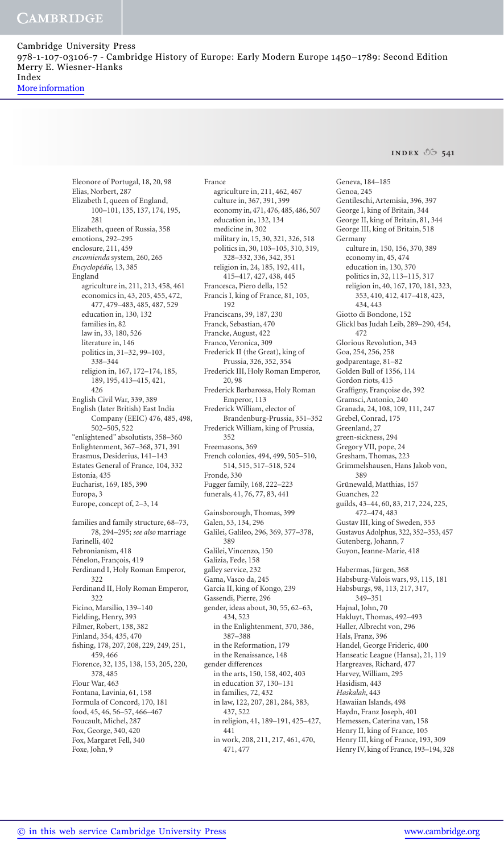**INDEX**  $\sqrt[6]{2}$  541

Eleonore of Portugal, 18, 20, 98 Elias, Norbert, 287 Elizabeth I, queen of England, 100-101, 135, 137, 174, 195, 281 Elizabeth, queen of Russia, 358 emotions, 292–295 enclosure, 211 , 459 encomienda system, 260, 265 Encyclopédie, 13, 385 England agriculture in, 211, 213, 458, 461 economics in, 43 , 205, 455, 472, 477 , 479–483 , 485 , 487 , 529 education in, 130, 132 families in, 82 law in, 33, 180, 526 literature in, 146 politics in, 31-32, 99-103, 338–344 religion in, 167, 172-174, 185, 189, 195, 413-415, 421, 426 English Civil War, 339 , 389 English (later British) East India Company (EEIC) 476, 485, 498, 502–505 , 522 "enlightened" absolutists, 358–360 Enlightenment, 367–368, 371, 391 Erasmus, Desiderius, 141–143 Estates General of France, 104, 332 Estonia, 435 Eucharist, 169, 185, 390 Europa, 3 Europe, concept of, 2-3, 14 families and family structure, 68-73, 78 , 294–295; *see also* marriage Farinelli, 402 Febronianism, 418 Fénelon, François, 419 Ferdinand I, Holy Roman Emperor, 322 Ferdinand II, Holy Roman Emperor, 322 Ficino, Marsilio, 139–140 Fielding, Henry, 393 Filmer, Robert, 138 , 382 Finland, 354 , 435 , 470 fishing, 178, 207, 208, 229, 249, 251, 459 , 466 Florence, 32, 135, 138, 153, 205, 220, 378 , 485 Flour War, 463 Fontana, Lavinia, 61 , 158 Formula of Concord, 170, 181 food, 45, 46, 56–57, 466–467 Foucault, Michel, 287 Fox, George, 340, 420 Fox, Margaret Fell, 340 Foxe, John, 9

 France agriculture in, 211, 462, 467 culture in, 367, 391, 399 economy in, 471, 476, 485, 486, 507 education in, 132, 134 medicine in, 302 military in, 15, 30, 321, 326, 518 politics in, 30, 103-105, 310, 319, 328–332 , 336 , 342 , 351 religion in, 24, 185, 192, 411, 415 –417 , 427 , 438 , 445 Francesca, Piero della, 152 Francis I, king of France, 81, 105, 192 Franciscans, 39, 187, 230 Franck, Sebastian, 470 Francke, August, 422 Franco, Veronica, 309 Frederick II (the Great), king of Prussia, 326, 352, 354 Frederick III, Holy Roman Emperor, 20 , 98 Frederick Barbarossa, Holy Roman Emperor, 113 Frederick William, elector of Brandenburg-Prussia, 351–352 Frederick William, king of Prussia, 352 Freemasons, 369 French colonies, 494, 499, 505-510, 514 , 515 , 517–518 , 524 Fronde, 330 Fugger family, 168, 222-223 funerals, 41 , 76 , 77 , 83 , 441 Gainsborough, Thomas, 399 Galen, 53, 134, 296 Galilei, Galileo, 296, 369, 377-378, 389 Galilei, Vincenzo, 150 Galizia, Fede, 158 galley service, 232 Gama, Vasco da, 245 Garcia II, king of Kongo, 239 Gassendi, Pierre, 296 gender, ideas about, 30, 55, 62-63, 434 , 523 in the Enlightenment, 370, 386, 387–388 in the Reformation, 179 in the Renaissance, 148 gender differences in the arts, 150, 158, 402, 403 in education 37 , 130–131 in families, 72, 432 in law, 122, 207, 281, 284, 383, 437, 522 in religion, 41, 189-191, 425-427, 441 in work, 208, 211, 217, 461, 470, 471 , 477

 Geneva, 184–185 Genoa, 245 Gentileschi, Artemisia, 396, 397 George I, king of Britain, 344 George II, king of Britain, 81, 344 George III, king of Britain, 518 Germany culture in, 150, 156, 370, 389 economy in, 45, 474 education in, 130, 370 politics in, 32, 113-115, 317 religion in, 40, 167, 170, 181, 323, 353 , 410 , 412 , 417 –418, 423 , 434 , 443 Giotto di Bondone, 152 Glickl bas Judah Leib, 289-290, 454, 472 Glorious Revolution, 343 Goa, 254, 256, 258 godparentage, 81 –82 Golden Bull of 1356, 114 Gordon riots, 415 Graffigny, Francoise de, 392 Gramsci, Antonio, 240 Granada, 24 , 108 , 109 , 111 , 247 Grebel, Conrad, 175 Greenland, 27 green-sickness, 294 Gregory VII, pope, 24 Gresham, Thomas, 223 Grimmelshausen, Hans Jakob von, 389 Grünewald, Matthias, 157 Guanches, 22 guilds, 43-44, 60, 83, 217, 224, 225, 472–474 , 483 Gustav III, king of Sweden, 353 Gustavus Adolphus, 322 , 352–353 , 457 Gutenberg, Johann, 7 Guyon, Jeanne-Marie, 418 Habermas, Jürgen, 368 Habsburg-Valois wars, 93, 115, 181 Habsburgs, 98, 113, 217, 317, 349–351 Hajnal, John, 70 Hakluyt, Thomas, 492–493 Haller, Albrecht von, 296 Hals, Franz, 396 Handel, George Frideric, 400 Hanseatic League (Hansa), 21, 119 Hargreaves, Richard, 477 Harvey, William, 295 Hasidism, 443 *Haskalah* , 443 Hawaiian Islands, 498 Haydn, Franz Joseph, 401 Hemessen, Caterina van, 158 Henry II, king of France, 105 Henry III, king of France, 193, 309 Henry IV, king of France, 193-194, 328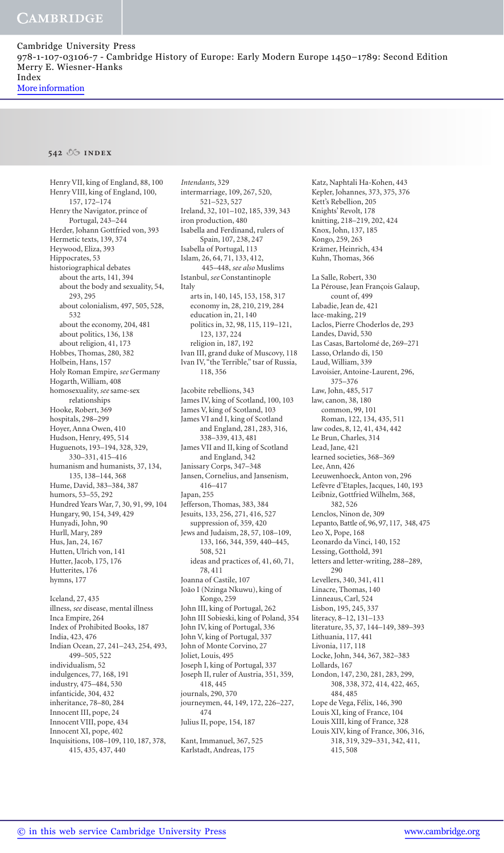### **542 index**

Henry VII, king of England, 88, 100 Henry VIII, king of England, 100, 157 , 172–174 Henry the Navigator, prince of Portugal, 243 –244 Herder, Johann Gottfried von, 393 Hermetic texts, 139, 374 Heywood, Eliza, 393 Hippocrates, 53 historiographical debates about the arts, 141, 394 about the body and sexuality, 54, 293 , 295 about colonialism, 497, 505, 528, 532 about the economy, 204, 481 about politics, 136, 138 about religion, 41, 173 Hobbes, Thomas, 280, 382 Holbein, Hans, 157 Holy Roman Empire, *see* Germany Hogarth, William, 408 homosexuality, *see* same-sex relationships Hooke, Robert, 369 hospitals, 298–299 Hoyer, Anna Owen, 410 Hudson, Henry, 495, 514 Huguenots, 193-194, 328, 329, 330–331, 415–416 humanism and humanists, 37, 134, 135 , 138–144 , 368 Hume, David, 383–384 , 387 humors, 53-55, 292 Hundred Years War, 7, 30, 91, 99, 104 Hungary, 90, 154, 349, 429 Hunyadi, John, 90 Hurll, Mary, 289 Hus, Jan, 24, 167 Hutten, Ulrich von, 141 Hutter, Jacob, 175, 176 Hutterites, 176 hymns, 177 Iceland, 27 , 435 illness, *see* disease, mental illness Inca Empire, 264 Index of Prohibited Books, 187 India, 423 , 476 Indian Ocean, 27, 241-243, 254, 493, 499–505 , 522 individualism, 52 indulgences, 77 , 168 , 191

 industry, 475–484 , 530 infanticide, 304, 432 inheritance, 78-80, 284 Innocent III, pope, 24 Innocent VIII, pope, 434 Innocent XI, pope, 402 Inquisitions, 108-109, 110, 187, 378,

415 , 435 , 437 , 440

*Intendants* , 329 intermarriage, 109, 267, 520, 521–523 , 527 Ireland, 32, 101-102, 185, 339, 343 iron production, 480 Isabella and Ferdinand, rulers of Spain, 107, 238, 247 Isabella of Portugal, 113 Islam, 26, 64, 71, 133, 412, 445–448, *see also* Muslims Istanbul, see Constantinople Italy arts in, 140, 145, 153, 158, 317 economy in, 28, 210, 219, 284 education in, 21, 140 politics in, 32, 98, 115, 119-121, 123 , 137 , 224 religion in, 187, 192 Ivan III, grand duke of Muscovy, 118 Ivan IV, "the Terrible," tsar of Russia, 118, 356 Jacobite rebellions, 343 James IV, king of Scotland, 100, 103 James V, king of Scotland, 103 James VI and I, king of Scotland and England, 281, 283, 316, 338–339 , 413 , 481 James VII and II, king of Scotland and England, 342 Janissary Corps, 347–348 Jansen, Cornelius, and Jansenism, 416 –417 Japan, 255 Jefferson, Thomas, 383, 384 Jesuits, 133 , 256 , 271 , 416 , 527 suppression of, 359, 420 Jews and Judaism, 28, 57, 108-109, 133 , 166 , 344 , 359 , 440–445, 508, 521 ideas and practices of, 41, 60, 71, 78 , 411 Joanna of Castile, 107 João I (Nzinga Nkuwu), king of Kongo, 259 John III, king of Portugal, 262 John III Sobieski, king of Poland, 354 John IV, king of Portugal, 336 John V, king of Portugal, 337 John of Monte Corvino, 27 Joliet, Louis, 495 Joseph I, king of Portugal, 337 Joseph II, ruler of Austria, 351, 359, 418 , 445 journals, 290, 370 journeymen, 44, 149, 172, 226-227, 474

Julius II, pope, 154, 187

 Kant, Immanuel, 367 , 525 Karlstadt, Andreas, 175

Katz, Naphtali Ha-Kohen, 443 Kepler, Johannes, 373 , 375 , 376 Kett's Rebellion, 205 Knights' Revolt, 178 knitting, 218 –219, 202, 424 Knox, John, 137, 185 Kongo, 259, 263 Krämer, Heinrich, 434 Kuhn, Thomas, 366 La Salle, Robert, 330 La Pérouse, Jean François Galaup, count of, 499 Labadie, Jean de, 421 lace-making, 219 Laclos, Pierre Choderlos de, 293 Landes, David, 530 Las Casas, Bartolomé de, 269-271 Lasso, Orlando di, 150 Laud, William, 339 Lavoisier, Antoine-Laurent, 296, 375 –376 Law, John, 485, 517 law, canon, 38, 180 common, 99, 101 Roman, 122, 134, 435, 511 law codes, 8, 12, 41, 434, 442 Le Brun, Charles, 314 Lead, Jane, 421 learned societies, 368–369 Lee, Ann, 426 Leeuwenhoeck, Anton von, 296 Lefèvre d'Etaples, Jacques, 140, 193 Leibniz, Gottfried Wilhelm, 368, 382 526 Lenclos, Ninon de, 309 Lepanto, Battle of, 96, 97, 117, 348, 475 Leo X, Pope, 168 Leonardo da Vinci, 140, 152 Lessing, Gotthold, 391 letters and letter-writing, 288–289 , 290 Levellers, 340, 341, 411 Linacre, Thomas, 140 Linneaus, Carl, 524 Lisbon, 195, 245, 337 literacy, 8-12, 131-133 literature, 35 , 37 , 144–149, 389–393 Lithuania, 117, 441 Livonia, 117, 118 Locke, John, 344 , 367 , 382–383 Lollards, 167 London, 147, 230, 281, 283, 299, 308 , 338 , 372 , 414 , 422 , 465 , 484 , 485 Lope de Vega, Félix, 146, 390 Louis XI, king of France, 104 Louis XIII, king of France, 328 Louis XIV, king of France, 306, 316, 318 , 319 , 329–331 , 342 , 411 , 415 , 508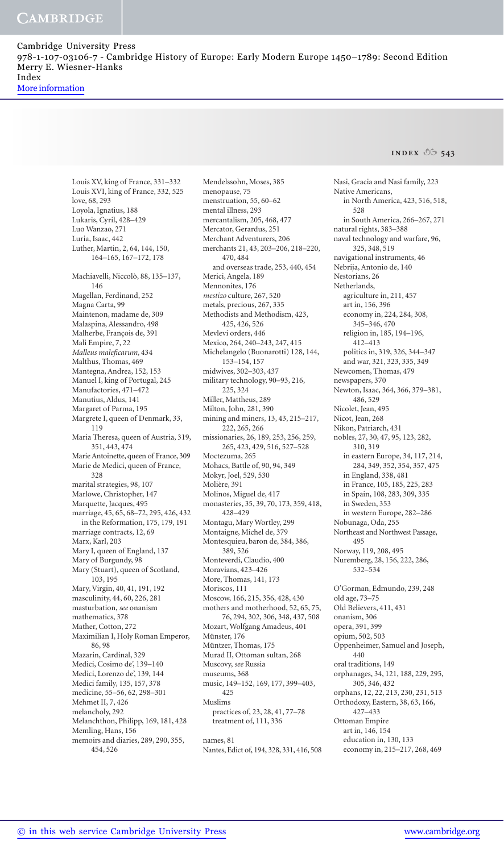**INDEX**  $\sqrt{6}$  543

 Louis XV, king of France, 331–332 Louis XVI, king of France, 332, 525 love, 68, 293 Loyola, Ignatius, 188 Lukaris, Cyril, 428-429 Luo Wanzao, 271 Luria, Isaac, 442 Luther, Martin, 2, 64, 144, 150, 164–165 , 167–172, 178 Machiavelli, Niccolò, 88, 135-137, 146 Magellan, Ferdinand, 252 Magna Carta, 99 Maintenon, madame de, 309 Malaspina, Alessandro, 498 Malherbe, François de, 391 Mali Empire, 7, 22 *Malleus malefi carum* , 434 Malthus, Thomas, 469 Mantegna, Andrea, 152, 153 Manuel I, king of Portugal, 245 Manufactories, 471–472 Manutius, Aldus, 141 Margaret of Parma, 195 Margrete I, queen of Denmark, 33, 119 Maria Theresa, queen of Austria, 319, 351 , 443 , 474 Marie Antoinette, queen of France, 309 Marie de Medici, queen of France, 328 marital strategies, 98, 107 Marlowe, Christopher, 147 Marquette, Jacques, 495 marriage, 45, 65, 68-72, 295, 426, 432 in the Reformation, 175, 179, 191 marriage contracts, 12, 69 Marx, Karl, 203 Mary I, queen of England, 137 Mary of Burgundy, 98 Mary (Stuart), queen of Scotland, 103, 195 Mary, Virgin, 40, 41, 191, 192 masculinity, 44, 60, 226, 281 masturbation, *see* onanism mathematics, 378 Mather, Cotton, 272 Maximilian I, Holy Roman Emperor, 86 , 98 Mazarin, Cardinal, 329 Medici, Cosimo de', 139–140 Medici, Lorenzo de', 139, 144 Medici family, 135, 157, 378 medicine, 55-56, 62, 298-301 Mehmet II, 7, 426 melancholy, 292 Melanchthon, Philipp, 169, 181, 428 Memling, Hans, 156 memoirs and diaries, 289 , 290, 355 , 454 , 526

 Mendelssohn, Moses, 385 menopause, 75 menstruation, 55, 60-62 mental illness, 293 mercantalism, 205 , 468 , 477 Mercator, Gerardus, 251 Merchant Adventurers, 206 merchants 21, 43, 203-206, 218-220, 470 , 484 and overseas trade, 253 , 440 , 454 Merici, Angela, 189 Mennonites, 176 *mestizo* culture, 267 , 520 metals, precious, 267, 335 Methodists and Methodism, 423, 425 , 426 , 526 Mevlevi orders, 446 Mexico, 264, 240-243, 247, 415 Michelangelo (Buonarotti) 128, 144, 153–154 , 157 midwives, 302-303, 437 military technology, 90-93, 216,  $225, 324$  Miller, Mattheus, 289 Milton, John, 281, 390 mining and miners, 13 , 43 , 215 –217, 222 , 265 , 266 missionaries, 26, 189, 253, 256, 259, 265 , 423 , 429 , 516 , 527–528 Moctezuma, 265 Mohacs, Battle of, 90, 94, 349 Mokyr, Joel, 529 , 530 Molière, 391 Molinos, Miguel de, 417 monasteries, 35, 39, 70, 173, 359, 418, 428-429 Montagu, Mary Wortley, 299 Montaigne, Michel de, 379 Montesquieu, baron de, 384, 386, 389 , 526 Monteverdi, Claudio, 400 Moravians, 423-426 More, Thomas, 141, 173 Moriscos, 111 Moscow, 166, 215, 356, 428, 430 mothers and motherhood, 52, 65, 75, 76 , 294 , 302 , 306 , 348 , 437 , 508 Mozart, Wolfgang Amadeus, 401 Münster, 176 Müntzer, Thomas, 175 Murad II, Ottoman sultan, 268 Muscovy, *see* Russia museums, 368 music, 149-152, 169, 177, 399-403, 425 Muslims practices of, 23, 28, 41, 77-78 treatment of, 111, 336 names, 81 Nantes, Edict of, 194, 328, 331, 416, 508

 Nasi, Gracia and Nasi family, 223 Native Americans, in North America, 423, 516, 518, 528 in South America, 266 –267, 271 natural rights, 383–388 naval technology and warfare, 96, 325 , 348 , 519 navigational instruments, 46 Nebrija, Antonio de, 140 Nestorians, 26 Netherlands, agriculture in, 211, 457 art in, 156, 396 economy in, 224, 284, 308, 345–346 , 470 religion in, 185, 194-196, 412 –413 politics in, 319 , 326 , 344–347 and war, 321, 323, 335, 349 Newcomen, Thomas, 479 newspapers, 370 Newton, Isaac, 364, 366, 379-381, 486 , 529 Nicolet, Jean, 495 Nicot, Jean, 268 Nikon, Patriarch, 431 nobles, 27, 30, 47, 95, 123, 282, 310 , 319 in eastern Europe, 34, 117, 214, 284 , 349 , 352 , 354 , 357 , 475 in England, 338 , 481 in France, 105 , 185 , 225 , 283 in Spain, 108, 283, 309, 335 in Sweden, 353 in western Europe, 282–286 Nobunaga, Oda, 255 Northeast and Northwest Passage, 495 Norway, 119, 208, 495 Nuremberg, 28, 156, 222, 286, 532–534 O'Gorman, Edmundo, 239 , 248 old age, 73 –75 Old Believers, 411 , 431 onanism, 306 opera, 391, 399 opium, 502, 503 Oppenheimer, Samuel and Joseph, 440 oral traditions, 149 orphanages, 34, 121, 188, 229, 295, 305 , 346 , 432 orphans, 12, 22, 213, 230, 231, 513 Orthodoxy, Eastern, 38 , 63, 166, 427–433 Ottoman Empire art in, 146, 154 education in, 130, 133 economy in, 215-217, 268, 469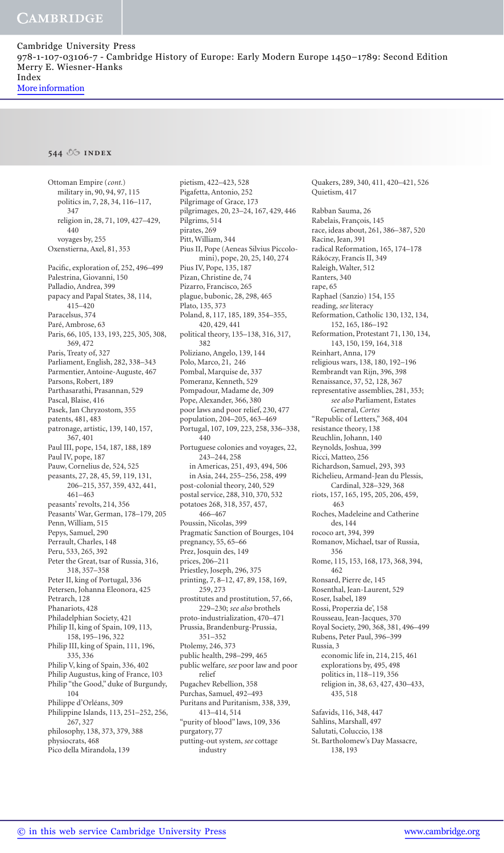# **544 index**

 Ottoman Empire (*cont.*) military in, 90, 94, 97, 115 politics in, 7, 28, 34, 116-117, 347 religion in, 28, 71, 109, 427-429, 440 voyages by, 255 Oxenstierna, Axel, 81, 353 Pacific, exploration of, 252, 496-499 Palestrina, Giovanni, 150 Palladio, Andrea, 399 papacy and Papal States, 38, 114, 415 –420 Paracelsus, 374 Paré, Ambrose, 63 Paris, 66, 105, 133, 193, 225, 305, 308, 369 , 472 Paris, Treaty of, 327 Parliament, English, 282, 338-343 Parmentier, Antoine-Auguste, 467 Parsons, Robert, 189 Parthasarathi, Prasannan, 529 Pascal, Blaise, 416 Pasek, Jan Chryzostom, 355 patents, 481, 483 patronage, artistic, 139, 140, 157, 367 , 401 Paul III, pope, 154, 187, 188, 189 Paul IV, pope, 187 Pauw, Cornelius de, 524, 525 peasants, 27, 28, 45, 59, 119, 131, 206 –215 , 357 , 359 , 432 , 441 ,  $461 - 463$  peasants' revolts, 214, 356 Peasants' War, German, 178-179, 205 Penn, William, 515 Pepys, Samuel, 290 Perrault, Charles, 148 Peru, 533, 265, 392 Peter the Great, tsar of Russia, 316, 318 , 357–358 Peter II, king of Portugal, 336 Petersen, Johanna Eleonora, 425 Petrarch, 128 Phanariots, 428 Philadelphian Society, 421 Philip II, king of Spain, 109, 113, 158 , 195–196 , 322 Philip III, king of Spain, 111, 196, 335 , 336 Philip V, king of Spain, 336, 402 Philip Augustus, king of France, 103 Philip "the Good," duke of Burgundy, 104 Philippe d'Orléans, 309 Philippine Islands, 113, 251-252, 256, 267 , 327 philosophy, 138, 373, 379, 388 physiocrats, 468 Pico della Mirandola, 139

pietism, 422-423, 528 Pigafetta, Antonio, 252 Pilgrimage of Grace, 173 pilgrimages, 20, 23-24, 167, 429, 446 Pilgrims, 514 pirates, 269 Pitt, William, 344 Pius II, Pope (Aeneas Silvius Piccolomini), pope, 20, 25, 140, 274 Pius IV, Pope, 135, 187 Pizan, Christine de, 74 Pizarro, Francisco, 265 plague, bubonic, 28, 298, 465 Plato, 135, 373 Poland, 8, 117, 185, 189, 354-355, 420 , 429 , 441 political theory, 135-138, 316, 317, 382 Poliziano, Angelo, 139 , 144 Polo, Marco, 21, 246 Pombal, Marquise de, 337 Pomeranz, Kenneth, 529 Pompadour, Madame de, 309 Pope, Alexander, 366, 380 poor laws and poor relief, 230, 477 population, 204-205, 463-469 Portugal, 107, 109, 223, 258, 336-338, 440 Portuguese colonies and voyages, 22, 243 –244 , 258 in Americas, 251, 493, 494, 506 in Asia, 244 , 255 –256 , 258, 499 post-colonial theory, 240, 529 postal service, 288, 310, 370, 532 potatoes 268, 318, 357, 457, 466–467 Poussin, Nicolas, 399 Pragmatic Sanction of Bourges, 104 pregnancy, 55 , 65 –66 Prez, Josquin des, 149 prices, 206 –211 Priestley, Joseph, 296, 375 printing, 7, 8-12, 47, 89, 158, 169, 259 , 273 prostitutes and prostitution, 57, 66, 229 –230; *see also* brothels proto-industrialization, 470–471 Prussia, Brandenburg-Prussia, 351–352 Ptolemy, 246, 373 public health, 298–299 , 465 public welfare, *see* poor law and poor relief Pugachev Rebellion, 358 Purchas, Samuel, 492-493 Puritans and Puritanism, 338 , 339 , 413 –414 , 514 "purity of blood" laws, 109, 336 purgatory, 77 putting-out system, *see* cottage industry

Quakers, 289, 340, 411, 420-421, 526 Quietism, 417

 Rabban Sauma, 26 Rabelais, François, 145 race, ideas about, 261 , 386–387 , 520 Racine, Jean, 391 radical Reformation, 165, 174-178 Rákóczy, Francis II, 349 Raleigh, Walter, 512 Ranters, 340 rape, 65 Raphael (Sanzio) 154, 155 reading, *see* literacy Reformation, Catholic 130, 132, 134, 152, 165, 186-192 Reformation, Protestant 71, 130, 134, 143, 150, 159, 164, 318 Reinhart, Anna, 179 religious wars, 138, 180, 192–196 Rembrandt van Rijn, 396, 398 Renaissance, 37, 52, 128, 367 representative assemblies, 281, 353; *see also* Parliament, Estates General, *Cortes* "Republic of Letters," 368 , 404 resistance theory, 138 Reuchlin, Johann, 140 Reynolds, Joshua, 399 Ricci, Matteo, 256 Richardson, Samuel, 293 , 393 Richelieu, Armand-Jean du Plessis, Cardinal, 328-329, 368 riots, 157, 165, 195, 205, 206, 459, 463 Roches, Madeleine and Catherine des, 144 rococo art, 394 , 399 Romanov, Michael, tsar of Russia, 356 Rome, 115, 153, 168, 173, 368, 394, 462 Ronsard, Pierre de, 145 Rosenthal, Jean-Laurent, 529 Roser, Isabel, 189 Rossi, Properzia de', 158 Rousseau, Jean-Jacques, 370 Royal Society, 290 , 368 , 381 , 496–499 Rubens, Peter Paul, 396–399 Russia, 3 economic life in, 214, 215, 461 explorations by, 495 , 498 politics in, 118–119 , 356 religion in, 38, 63, 427, 430-433, 435 , 518 Safavids, 116, 348, 447 Sahlins, Marshall, 497 Salutati, Coluccio, 138 St. Bartholomew's Day Massacre,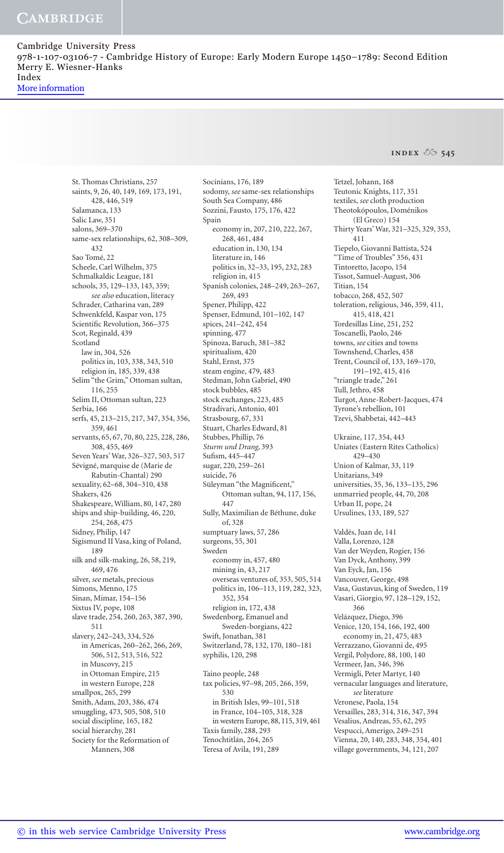**INDEX 06 545** 

 St. Thomas Christians, 257 saints, 9, 26, 40, 149, 169, 173, 191, 428 , 446 , 519 Salamanca, 133 Salic Law, 351 salons, 369–370 same-sex relationships, 62, 308-309, 432 Sao Tomé, 22 Scheele, Carl Wilhelm, 375 Schmalkaldic League, 181 schools, 35, 129-133, 143, 359; *see also* education, literacy Schrader, Catharina van, 289 Schwenkfeld, Kaspar von, 175 Scientific Revolution, 366-375 Scot, Reginald, 439 Scotland law in, 304, 526 politics in, 103 , 338 , 343 , 510 religion in, 185, 339, 438 Selim "the Grim," Ottoman sultan, 116 , 255 Selim II, Ottoman sultan, 223 Serbia, 166 serfs, 45, 213-215, 217, 347, 354, 356, 359 , 461 servants, 65, 67, 70, 80, 225, 228, 286, 308 , 455 , 469 Seven Years' War, 326-327, 503, 517 Sévigné, marquise de (Marie de Rabutin-Chantal) 290 sexuality, 62-68, 304-310, 438 Shakers, 426 Shakespeare, William, 80, 147, 280 ships and ship-building, 46, 220, 254, 268, 475 Sidney, Philip, 147 Sigismund II Vasa, king of Poland, 189 silk and silk-making, 26, 58, 219, 469 476 silver, *see* metals, precious Simons, Menno, 175 Sinan, Mimar, 154–156 Sixtus IV, pope, 108 slave trade, 254, 260, 263, 387, 390, 511 slavery, 242-243, 334, 526 in Americas, 260-262, 266, 269, 506, 512 , 513 , 516 , 522 in Muscovy, 215 in Ottoman Empire, 215 in western Europe, 228 smallpox, 265, 299 Smith, Adam, 203, 386, 474 smuggling, 473 , 505, 508 , 510 social discipline, 165, 182 social hierarchy, 281 Society for the Reformation of Manners, 308

Socinians, 176, 189 sodomy, *see* same-sex relationships South Sea Company, 486 Sozzini, Fausto, 175, 176, 422 Spain economy in, 207, 210, 222, 267, 268 , 461 , 484 education in, 130, 134 literature in, 146 politics in, 32-33, 195, 232, 283 religion in, 415 Spanish colonies, 248-249, 263-267, 269, 493 Spener, Philipp, 422 Spenser, Edmund, 101-102, 147 spices, 241-242, 454 spinning, 477 Spinoza, Baruch, 381–382 spiritualism, 420 Stahl, Ernst, 375 steam engine, 479, 483 Stedman, John Gabriel, 490 stock bubbles, 485 stock exchanges, 223, 485 Stradivari, Antonio, 401 Strasbourg, 67, 331 Stuart, Charles Edward, 81 Stubbes, Phillip, 76 *Sturm und Drang* , 393 Sufism, 445-447 sugar, 220, 259-261 suicide, 76 Süleyman "the Magnificent," Ottoman sultan, 94, 117, 156, 447 Sully, Maximilian de Béthune, duke of, 328 sumptuary laws, 57, 286 surgeons, 55, 301 Sweden economy in, 457 , 480 mining in, 43, 217 overseas ventures of, 353 , 505 , 514 politics in, 106-113, 119, 282, 323, 352 354 religion in, 172, 438 Swedenborg, Emanuel and Sweden-borgians, 422 Swift, Jonathan, 381 Switzerland, 78, 132, 170, 180-181 syphilis, 120, 298 Taino people, 248 tax policies, 97-98, 205, 266, 359, 530 in British Isles, 99-101, 518 in France, 104–105 , 318 , 328 in western Europe, 88 , 115 , 319 , 461 Taxis family, 288, 293 Tenochtitlán, 264, 265

Teresa of Avila, 191, 289

 Tetzel, Johann, 168 Teutonic Knights, 117, 351 textiles, *see* cloth production Theotokópoulos, Doménikos (El Greco) 154 Thirty Years' War, 321-325, 329, 353, 411 Tiepelo, Giovanni Battista, 524 "Time of Troubles" 356 , 431 Tintoretto, Jacopo, 154 Tissot, Samuel-August, 306 Titian, 154 tobacco, 268, 452, 507 toleration, religious, 346, 359, 411, 415 , 418 , 421 Tordesillas Line, 251, 252 Toscanelli, Paolo, 246 towns, *see* cities and towns Townshend, Charles, 458 Trent, Council of, 133 , 169–170 , 191–192, 415, 416 "triangle trade," 261 Tull, Jethro, 458 Turgot, Anne-Robert-Jacques, 474 Tyrone's rebellion, 101 Tzevi, Shabbetai, 442 –443 Ukraine, 117, 354, 443 Uniates (Eastern Rites Catholics) 429 –430 Union of Kalmar, 33, 119 Unitarians, 349 universities, 35 , 36 , 133–135 , 296 unmarried people, 44 , 70, 208 Urban II, pope, 24 Ursulines, 133, 189, 527 Valdés, Juan de, 141 Valla, Lorenzo, 128 Van der Weyden, Rogier, 156 Van Dyck, Anthony, 399 Van Eyck, Jan, 156 Vancouver, George, 498 Vasa, Gustavus, king of Sweden, 119 Vasari, Giorgio, 97, 128-129, 152, 366 Velázquez, Diego, 396 Venice, 120, 154, 166, 192, 400 economy in, 21, 475, 483 Verrazzano, Giovanni de, 495 Vergil, Polydore, 88, 100, 140 Vermeer, Jan, 346, 396 Vermigli, Peter Martyr, 140 vernacular languages and literature, *see* literature Veronese, Paola, 154 Versailles, 283 , 314 , 316 , 347 , 394 Vesalius, Andreas, 55 , 62, 295 Vespucci, Amerigo, 249-251 Vienna, 20, 140, 283, 348, 354, 401 village governments, 34, 121, 207